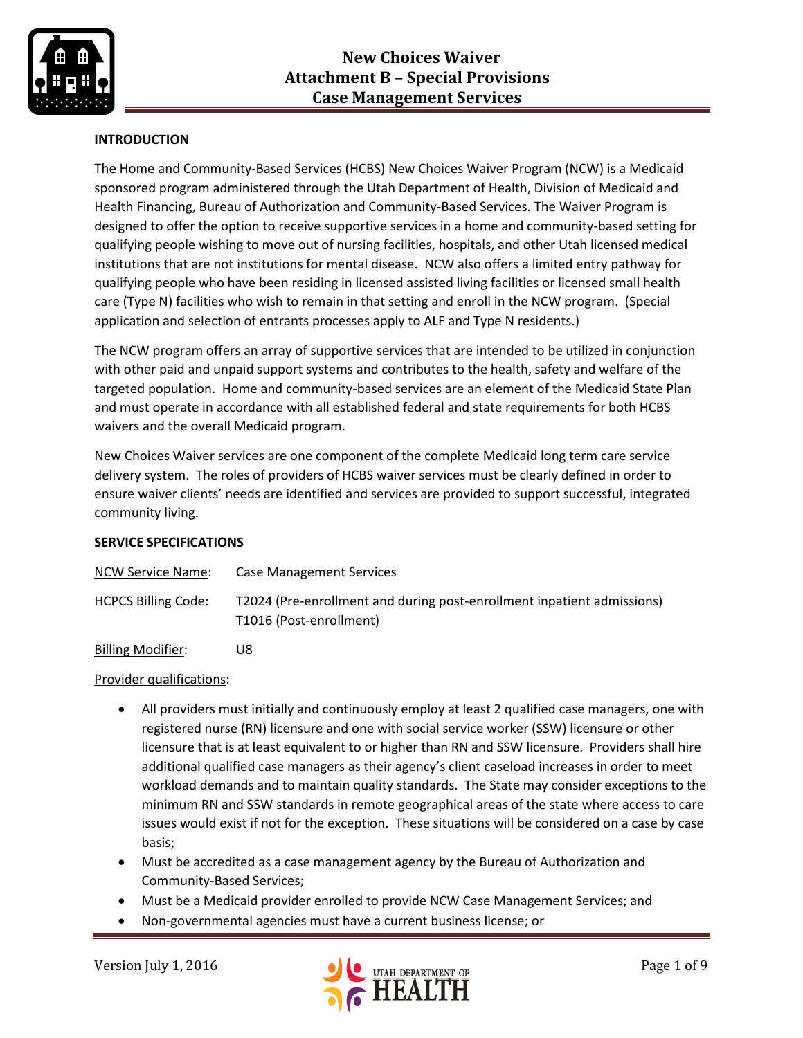

# **INTRODUCTION**

The Home and Community-Based Services (HCBS) New Choices Waiver Program (NCW) is a Medicaid sponsored program administered through the Utah Department of Health, Division of Medicaid and Health Financing, Bureau of Authorization and Community-Based Services. The Waiver Program is designed to offer the option to receive supportive services in a home and community-based setting for qualifying people wishing to move out of nursing facilities, hospitals, and other Utah licensed medical institutions that are not institutions for mental disease. NCW also offers a limited entry pathway for qualifying people who have been residing in licensed assisted living facilities or licensed small health care (Type N) facilities who wish to remain in that setting and enroll in the NCW program. (Special application and selection of entrants processes apply to ALF and Type N residents.)

The NCW program offers an array of supportive services that are intended to be utilized in conjunction with other paid and unpaid support systems and contributes to the health, safety and welfare of the targeted population. Home and community-based services are an element of the Medicaid State Plan and must operate in accordance with all established federal and state requirements for both HCBS waivers and the overall Medicaid program.

New Choices Waiver services are one component of the complete Medicaid long term care service delivery system. The roles of providers of HCBS waiver services must be clearly defined in order to ensure waiver clients' needs are identified and services are provided to support successful, integrated community living.

## **SERVICE SPECIFICATIONS**

| NCW Service Name:          | Case Management Services                                                                          |
|----------------------------|---------------------------------------------------------------------------------------------------|
| <b>HCPCS Billing Code:</b> | T2024 (Pre-enrollment and during post-enrollment inpatient admissions)<br>T1016 (Post-enrollment) |

Billing Modifier: U8

#### Provider qualifications:

- All providers must initially and continuously employ at least 2 qualified case managers, one with registered nurse (RN) licensure and one with social service worker (SSW) licensure or other licensure that is at least equivalent to or higher than RN and SSW licensure. Providers shall hire additional qualified case managers as their agency's client caseload increases in order to meet workload demands and to maintain quality standards. The State may consider exceptions to the minimum RN and SSW standards in remote geographical areas of the state where access to care issues would exist if not for the exception. These situations will be considered on a case by case basis;
- Must be accredited as a case management agency by the Bureau of Authorization and Community-Based Services;
- Must be a Medicaid provider enrolled to provide NCW Case Management Services; and
- Non-governmental agencies must have a current business license; or

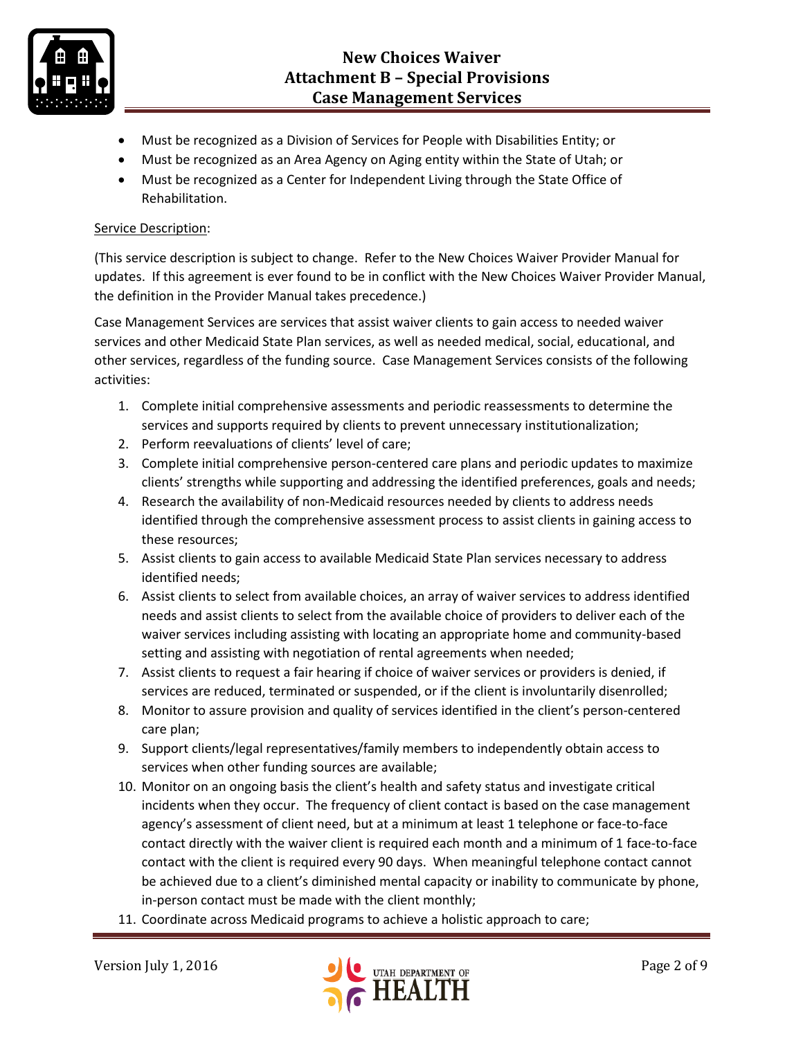

- Must be recognized as a Division of Services for People with Disabilities Entity; or
- Must be recognized as an Area Agency on Aging entity within the State of Utah; or
- Must be recognized as a Center for Independent Living through the State Office of Rehabilitation.

## Service Description:

(This service description is subject to change. Refer to the New Choices Waiver Provider Manual for updates. If this agreement is ever found to be in conflict with the New Choices Waiver Provider Manual, the definition in the Provider Manual takes precedence.)

Case Management Services are services that assist waiver clients to gain access to needed waiver services and other Medicaid State Plan services, as well as needed medical, social, educational, and other services, regardless of the funding source. Case Management Services consists of the following activities:

- 1. Complete initial comprehensive assessments and periodic reassessments to determine the services and supports required by clients to prevent unnecessary institutionalization;
- 2. Perform reevaluations of clients' level of care;
- 3. Complete initial comprehensive person-centered care plans and periodic updates to maximize clients' strengths while supporting and addressing the identified preferences, goals and needs;
- 4. Research the availability of non-Medicaid resources needed by clients to address needs identified through the comprehensive assessment process to assist clients in gaining access to these resources;
- 5. Assist clients to gain access to available Medicaid State Plan services necessary to address identified needs;
- 6. Assist clients to select from available choices, an array of waiver services to address identified needs and assist clients to select from the available choice of providers to deliver each of the waiver services including assisting with locating an appropriate home and community-based setting and assisting with negotiation of rental agreements when needed;
- 7. Assist clients to request a fair hearing if choice of waiver services or providers is denied, if services are reduced, terminated or suspended, or if the client is involuntarily disenrolled;
- 8. Monitor to assure provision and quality of services identified in the client's person-centered care plan;
- 9. Support clients/legal representatives/family members to independently obtain access to services when other funding sources are available;
- 10. Monitor on an ongoing basis the client's health and safety status and investigate critical incidents when they occur. The frequency of client contact is based on the case management agency's assessment of client need, but at a minimum at least 1 telephone or face-to-face contact directly with the waiver client is required each month and a minimum of 1 face-to-face contact with the client is required every 90 days. When meaningful telephone contact cannot be achieved due to a client's diminished mental capacity or inability to communicate by phone, in-person contact must be made with the client monthly;
- 11. Coordinate across Medicaid programs to achieve a holistic approach to care;

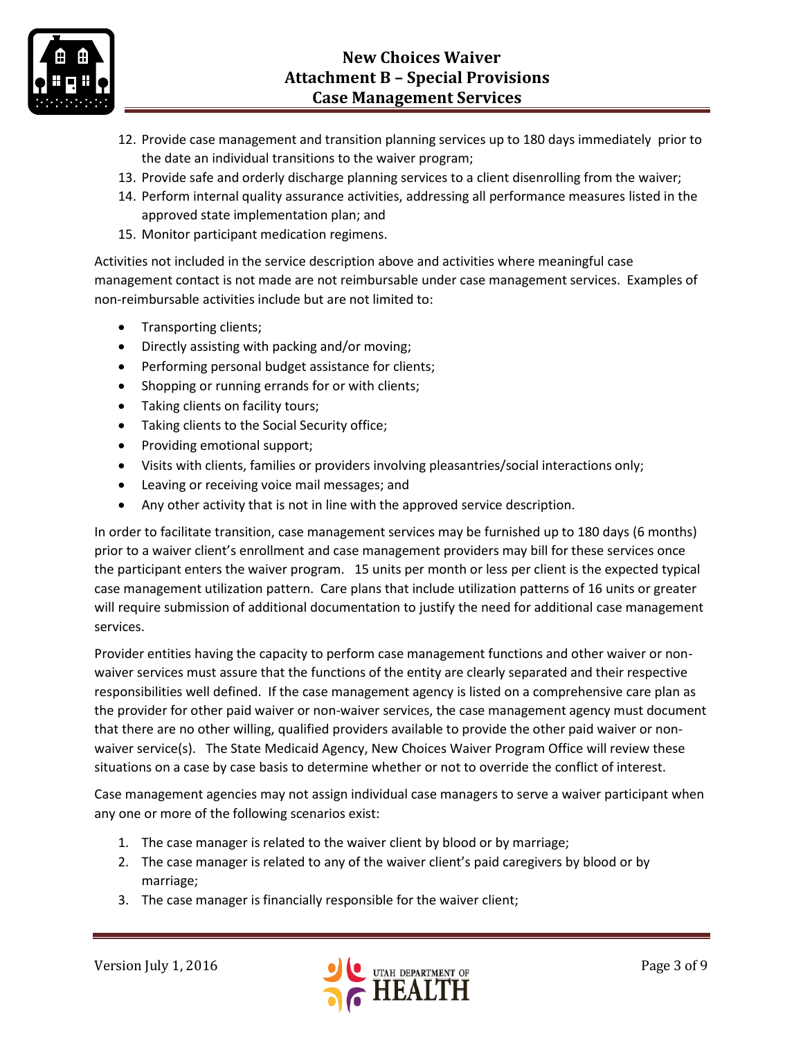

- 12. Provide case management and transition planning services up to 180 days immediately prior to the date an individual transitions to the waiver program;
- 13. Provide safe and orderly discharge planning services to a client disenrolling from the waiver;
- 14. Perform internal quality assurance activities, addressing all performance measures listed in the approved state implementation plan; and
- 15. Monitor participant medication regimens.

Activities not included in the service description above and activities where meaningful case management contact is not made are not reimbursable under case management services. Examples of non-reimbursable activities include but are not limited to:

- Transporting clients;
- Directly assisting with packing and/or moving;
- Performing personal budget assistance for clients;
- Shopping or running errands for or with clients;
- Taking clients on facility tours;
- Taking clients to the Social Security office;
- Providing emotional support;
- Visits with clients, families or providers involving pleasantries/social interactions only;
- Leaving or receiving voice mail messages; and
- Any other activity that is not in line with the approved service description.

In order to facilitate transition, case management services may be furnished up to 180 days (6 months) prior to a waiver client's enrollment and case management providers may bill for these services once the participant enters the waiver program. 15 units per month or less per client is the expected typical case management utilization pattern. Care plans that include utilization patterns of 16 units or greater will require submission of additional documentation to justify the need for additional case management services.

Provider entities having the capacity to perform case management functions and other waiver or nonwaiver services must assure that the functions of the entity are clearly separated and their respective responsibilities well defined. If the case management agency is listed on a comprehensive care plan as the provider for other paid waiver or non-waiver services, the case management agency must document that there are no other willing, qualified providers available to provide the other paid waiver or nonwaiver service(s). The State Medicaid Agency, New Choices Waiver Program Office will review these situations on a case by case basis to determine whether or not to override the conflict of interest.

Case management agencies may not assign individual case managers to serve a waiver participant when any one or more of the following scenarios exist:

- 1. The case manager is related to the waiver client by blood or by marriage;
- 2. The case manager is related to any of the waiver client's paid caregivers by blood or by marriage;
- 3. The case manager is financially responsible for the waiver client;

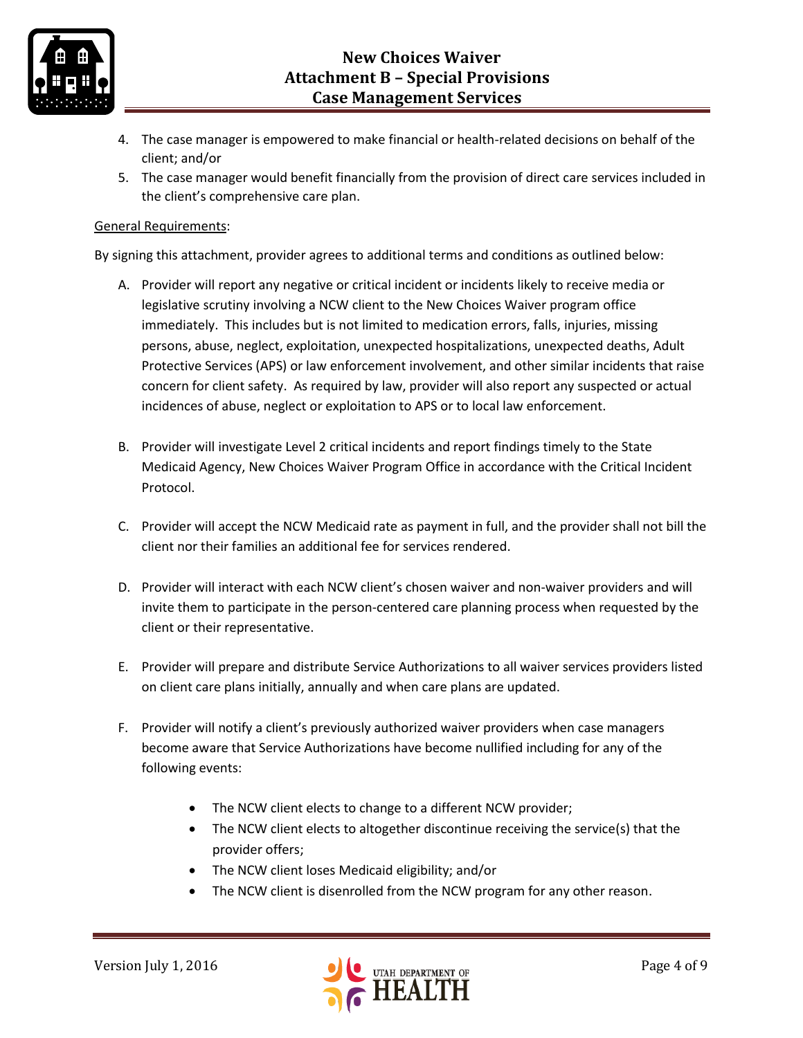

- 4. The case manager is empowered to make financial or health-related decisions on behalf of the client; and/or
- 5. The case manager would benefit financially from the provision of direct care services included in the client's comprehensive care plan.

#### General Requirements:

By signing this attachment, provider agrees to additional terms and conditions as outlined below:

- A. Provider will report any negative or critical incident or incidents likely to receive media or legislative scrutiny involving a NCW client to the New Choices Waiver program office immediately. This includes but is not limited to medication errors, falls, injuries, missing persons, abuse, neglect, exploitation, unexpected hospitalizations, unexpected deaths, Adult Protective Services (APS) or law enforcement involvement, and other similar incidents that raise concern for client safety. As required by law, provider will also report any suspected or actual incidences of abuse, neglect or exploitation to APS or to local law enforcement.
- B. Provider will investigate Level 2 critical incidents and report findings timely to the State Medicaid Agency, New Choices Waiver Program Office in accordance with the Critical Incident Protocol.
- C. Provider will accept the NCW Medicaid rate as payment in full, and the provider shall not bill the client nor their families an additional fee for services rendered.
- D. Provider will interact with each NCW client's chosen waiver and non-waiver providers and will invite them to participate in the person-centered care planning process when requested by the client or their representative.
- E. Provider will prepare and distribute Service Authorizations to all waiver services providers listed on client care plans initially, annually and when care plans are updated.
- F. Provider will notify a client's previously authorized waiver providers when case managers become aware that Service Authorizations have become nullified including for any of the following events:
	- The NCW client elects to change to a different NCW provider;
	- The NCW client elects to altogether discontinue receiving the service(s) that the provider offers;
	- The NCW client loses Medicaid eligibility; and/or
	- The NCW client is disenrolled from the NCW program for any other reason.

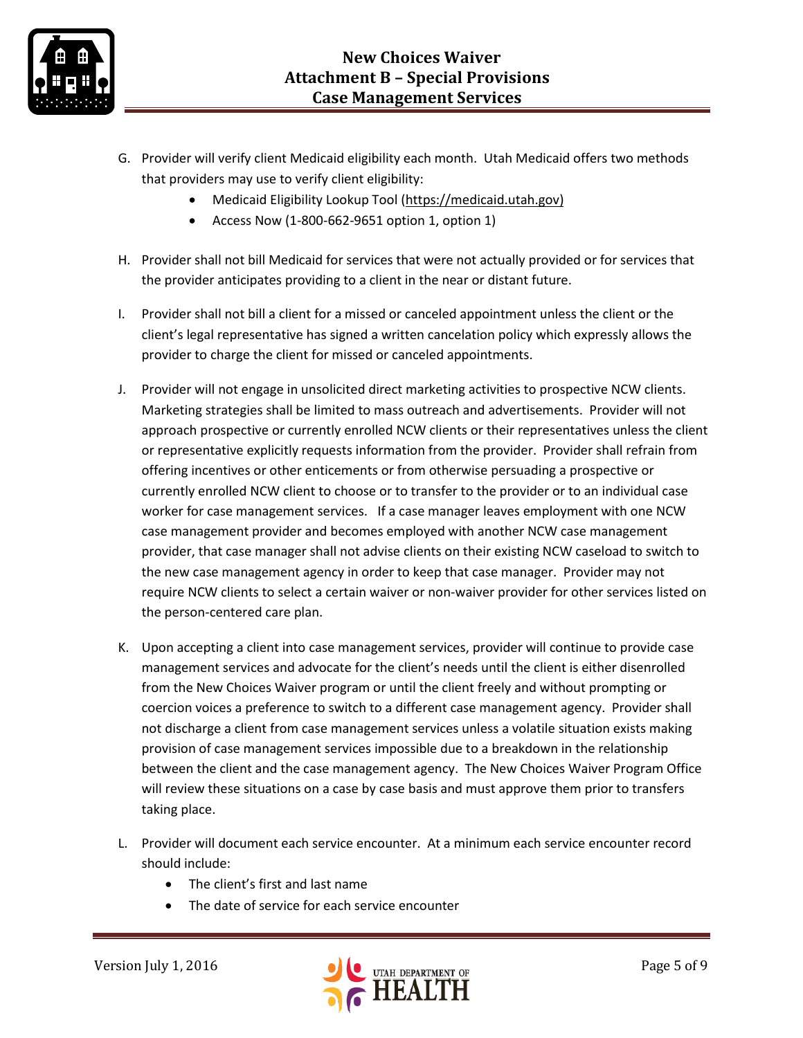

- G. Provider will verify client Medicaid eligibility each month. Utah Medicaid offers two methods that providers may use to verify client eligibility:
	- Medicaid Eligibility Lookup Tool [\(https://medicaid.utah.gov\)](https://medicaid.utah.gov/)
	- Access Now (1-800-662-9651 option 1, option 1)
- H. Provider shall not bill Medicaid for services that were not actually provided or for services that the provider anticipates providing to a client in the near or distant future.
- I. Provider shall not bill a client for a missed or canceled appointment unless the client or the client's legal representative has signed a written cancelation policy which expressly allows the provider to charge the client for missed or canceled appointments.
- J. Provider will not engage in unsolicited direct marketing activities to prospective NCW clients. Marketing strategies shall be limited to mass outreach and advertisements. Provider will not approach prospective or currently enrolled NCW clients or their representatives unless the client or representative explicitly requests information from the provider. Provider shall refrain from offering incentives or other enticements or from otherwise persuading a prospective or currently enrolled NCW client to choose or to transfer to the provider or to an individual case worker for case management services. If a case manager leaves employment with one NCW case management provider and becomes employed with another NCW case management provider, that case manager shall not advise clients on their existing NCW caseload to switch to the new case management agency in order to keep that case manager. Provider may not require NCW clients to select a certain waiver or non-waiver provider for other services listed on the person-centered care plan.
- K. Upon accepting a client into case management services, provider will continue to provide case management services and advocate for the client's needs until the client is either disenrolled from the New Choices Waiver program or until the client freely and without prompting or coercion voices a preference to switch to a different case management agency. Provider shall not discharge a client from case management services unless a volatile situation exists making provision of case management services impossible due to a breakdown in the relationship between the client and the case management agency. The New Choices Waiver Program Office will review these situations on a case by case basis and must approve them prior to transfers taking place.
- L. Provider will document each service encounter. At a minimum each service encounter record should include:
	- The client's first and last name
	- The date of service for each service encounter

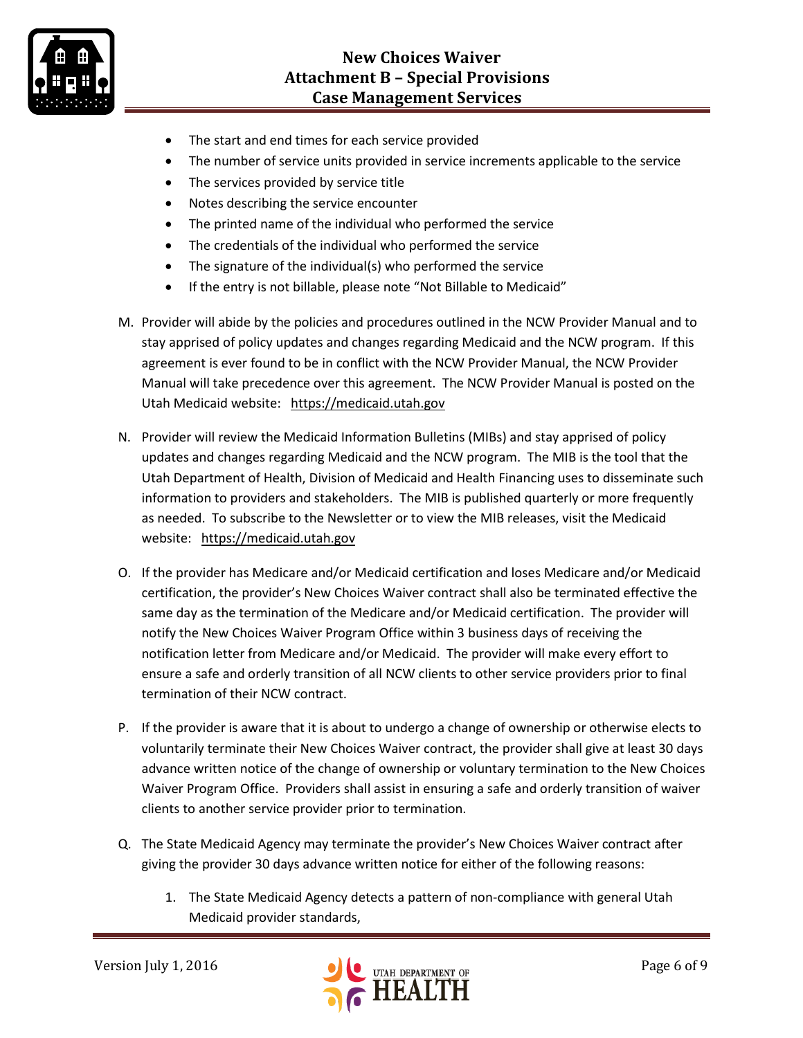

- The start and end times for each service provided
- The number of service units provided in service increments applicable to the service
- The services provided by service title
- Notes describing the service encounter
- The printed name of the individual who performed the service
- The credentials of the individual who performed the service
- The signature of the individual(s) who performed the service
- If the entry is not billable, please note "Not Billable to Medicaid"
- M. Provider will abide by the policies and procedures outlined in the NCW Provider Manual and to stay apprised of policy updates and changes regarding Medicaid and the NCW program. If this agreement is ever found to be in conflict with the NCW Provider Manual, the NCW Provider Manual will take precedence over this agreement. The NCW Provider Manual is posted on the Utah Medicaid website: [https://medicaid.utah.gov](https://medicaid.utah.gov/)
- N. Provider will review the Medicaid Information Bulletins (MIBs) and stay apprised of policy updates and changes regarding Medicaid and the NCW program. The MIB is the tool that the Utah Department of Health, Division of Medicaid and Health Financing uses to disseminate such information to providers and stakeholders. The MIB is published quarterly or more frequently as needed. To subscribe to the Newsletter or to view the MIB releases, visit the Medicaid website: [https://medicaid.utah.gov](https://medicaid.utah.gov/)
- O. If the provider has Medicare and/or Medicaid certification and loses Medicare and/or Medicaid certification, the provider's New Choices Waiver contract shall also be terminated effective the same day as the termination of the Medicare and/or Medicaid certification. The provider will notify the New Choices Waiver Program Office within 3 business days of receiving the notification letter from Medicare and/or Medicaid. The provider will make every effort to ensure a safe and orderly transition of all NCW clients to other service providers prior to final termination of their NCW contract.
- P. If the provider is aware that it is about to undergo a change of ownership or otherwise elects to voluntarily terminate their New Choices Waiver contract, the provider shall give at least 30 days advance written notice of the change of ownership or voluntary termination to the New Choices Waiver Program Office. Providers shall assist in ensuring a safe and orderly transition of waiver clients to another service provider prior to termination.
- Q. The State Medicaid Agency may terminate the provider's New Choices Waiver contract after giving the provider 30 days advance written notice for either of the following reasons:
	- 1. The State Medicaid Agency detects a pattern of non-compliance with general Utah Medicaid provider standards,

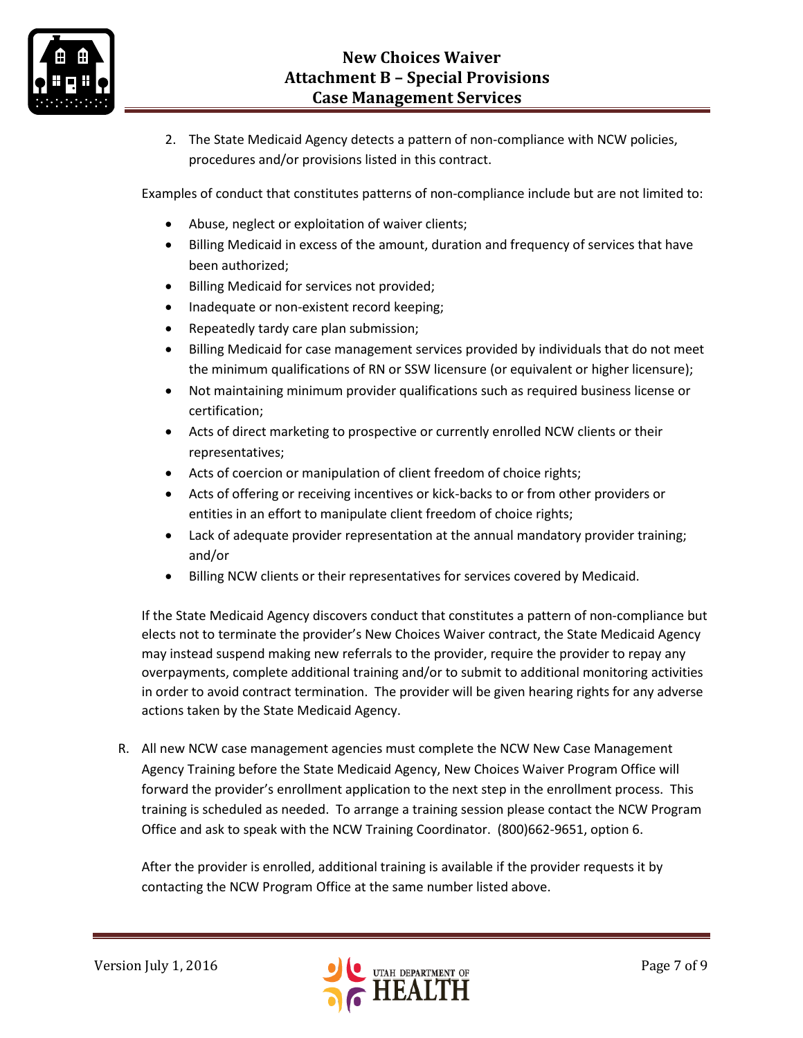

2. The State Medicaid Agency detects a pattern of non-compliance with NCW policies, procedures and/or provisions listed in this contract.

Examples of conduct that constitutes patterns of non-compliance include but are not limited to:

- Abuse, neglect or exploitation of waiver clients;
- Billing Medicaid in excess of the amount, duration and frequency of services that have been authorized;
- Billing Medicaid for services not provided;
- Inadequate or non-existent record keeping;
- Repeatedly tardy care plan submission;
- Billing Medicaid for case management services provided by individuals that do not meet the minimum qualifications of RN or SSW licensure (or equivalent or higher licensure);
- Not maintaining minimum provider qualifications such as required business license or certification;
- Acts of direct marketing to prospective or currently enrolled NCW clients or their representatives;
- Acts of coercion or manipulation of client freedom of choice rights;
- Acts of offering or receiving incentives or kick-backs to or from other providers or entities in an effort to manipulate client freedom of choice rights;
- Lack of adequate provider representation at the annual mandatory provider training; and/or
- Billing NCW clients or their representatives for services covered by Medicaid.

If the State Medicaid Agency discovers conduct that constitutes a pattern of non-compliance but elects not to terminate the provider's New Choices Waiver contract, the State Medicaid Agency may instead suspend making new referrals to the provider, require the provider to repay any overpayments, complete additional training and/or to submit to additional monitoring activities in order to avoid contract termination. The provider will be given hearing rights for any adverse actions taken by the State Medicaid Agency.

R. All new NCW case management agencies must complete the NCW New Case Management Agency Training before the State Medicaid Agency, New Choices Waiver Program Office will forward the provider's enrollment application to the next step in the enrollment process. This training is scheduled as needed. To arrange a training session please contact the NCW Program Office and ask to speak with the NCW Training Coordinator. (800)662-9651, option 6.

After the provider is enrolled, additional training is available if the provider requests it by contacting the NCW Program Office at the same number listed above.

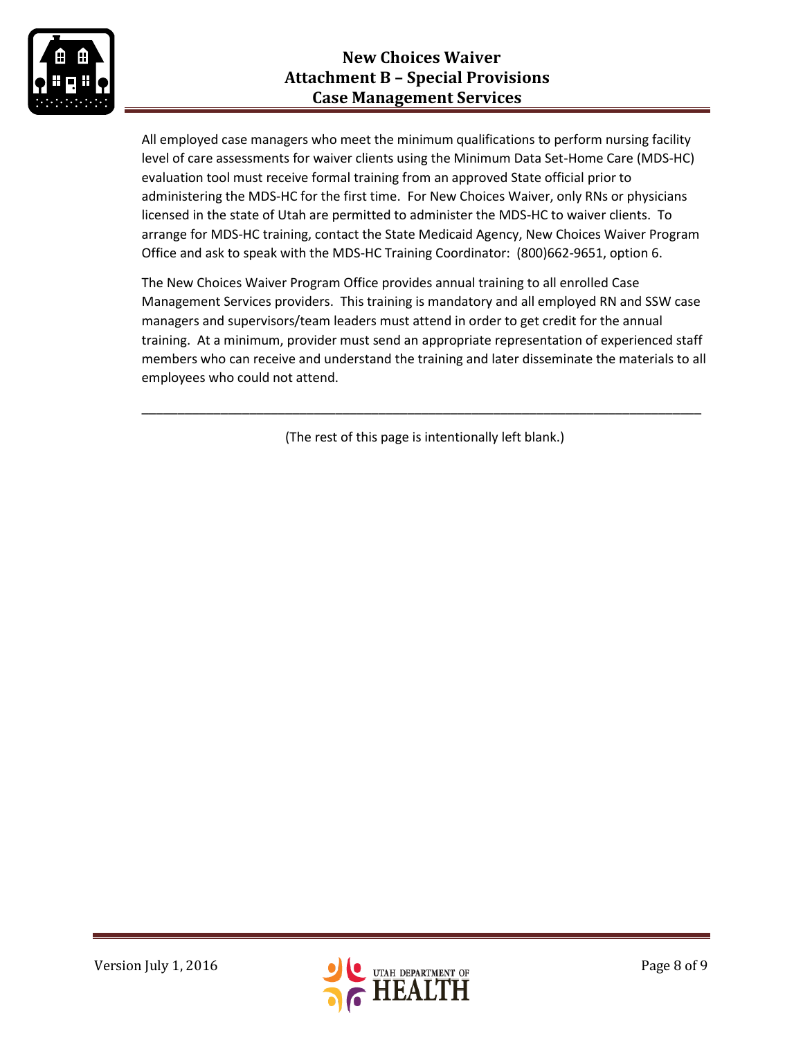

All employed case managers who meet the minimum qualifications to perform nursing facility level of care assessments for waiver clients using the Minimum Data Set-Home Care (MDS-HC) evaluation tool must receive formal training from an approved State official prior to administering the MDS-HC for the first time. For New Choices Waiver, only RNs or physicians licensed in the state of Utah are permitted to administer the MDS-HC to waiver clients. To arrange for MDS-HC training, contact the State Medicaid Agency, New Choices Waiver Program Office and ask to speak with the MDS-HC Training Coordinator: (800)662-9651, option 6.

The New Choices Waiver Program Office provides annual training to all enrolled Case Management Services providers. This training is mandatory and all employed RN and SSW case managers and supervisors/team leaders must attend in order to get credit for the annual training. At a minimum, provider must send an appropriate representation of experienced staff members who can receive and understand the training and later disseminate the materials to all employees who could not attend.

(The rest of this page is intentionally left blank.)

\_\_\_\_\_\_\_\_\_\_\_\_\_\_\_\_\_\_\_\_\_\_\_\_\_\_\_\_\_\_\_\_\_\_\_\_\_\_\_\_\_\_\_\_\_\_\_\_\_\_\_\_\_\_\_\_\_\_\_\_\_\_\_\_\_\_\_\_\_\_\_\_\_\_\_\_\_\_